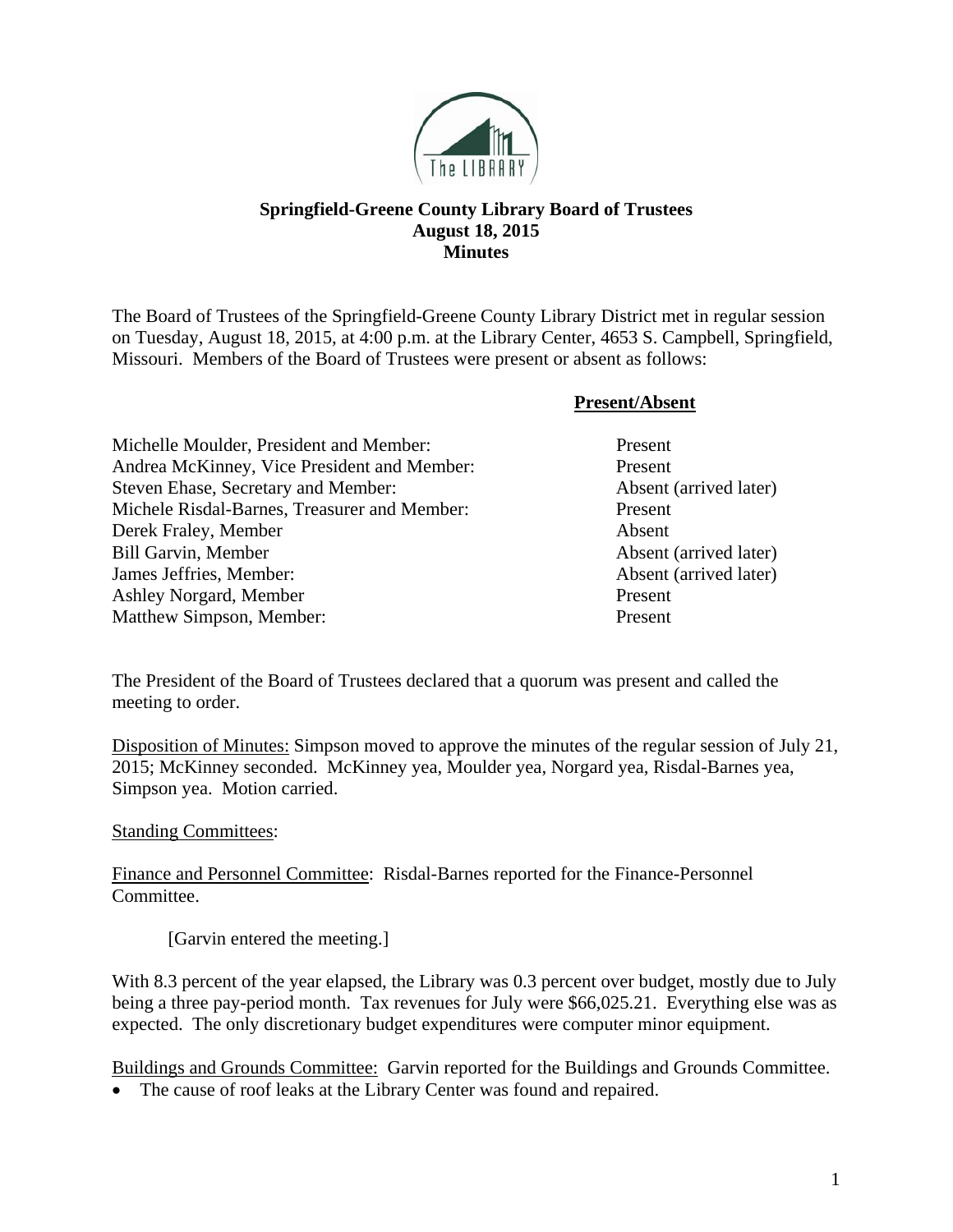

## **Springfield-Greene County Library Board of Trustees August 18, 2015 Minutes**

The Board of Trustees of the Springfield-Greene County Library District met in regular session on Tuesday, August 18, 2015, at 4:00 p.m. at the Library Center, 4653 S. Campbell, Springfield, Missouri. Members of the Board of Trustees were present or absent as follows:

## **Present/Absent**

| Michelle Moulder, President and Member:      | Present |
|----------------------------------------------|---------|
| Andrea McKinney, Vice President and Member:  | Present |
| Steven Ehase, Secretary and Member:          | Absent  |
| Michele Risdal-Barnes, Treasurer and Member: | Present |
| Derek Fraley, Member                         | Absent  |
| <b>Bill Garvin, Member</b>                   | Absent  |
| James Jeffries, Member:                      | Absent  |
| Ashley Norgard, Member                       | Present |
| <b>Matthew Simpson, Member:</b>              | Present |

## Absent (arrived later) Absent (arrived later) Absent (arrived later)

The President of the Board of Trustees declared that a quorum was present and called the meeting to order.

Disposition of Minutes: Simpson moved to approve the minutes of the regular session of July 21, 2015; McKinney seconded. McKinney yea, Moulder yea, Norgard yea, Risdal-Barnes yea, Simpson yea. Motion carried.

## Standing Committees:

Finance and Personnel Committee: Risdal-Barnes reported for the Finance-Personnel Committee.

[Garvin entered the meeting.]

With 8.3 percent of the year elapsed, the Library was 0.3 percent over budget, mostly due to July being a three pay-period month. Tax revenues for July were \$66,025.21. Everything else was as expected. The only discretionary budget expenditures were computer minor equipment.

Buildings and Grounds Committee: Garvin reported for the Buildings and Grounds Committee.

• The cause of roof leaks at the Library Center was found and repaired.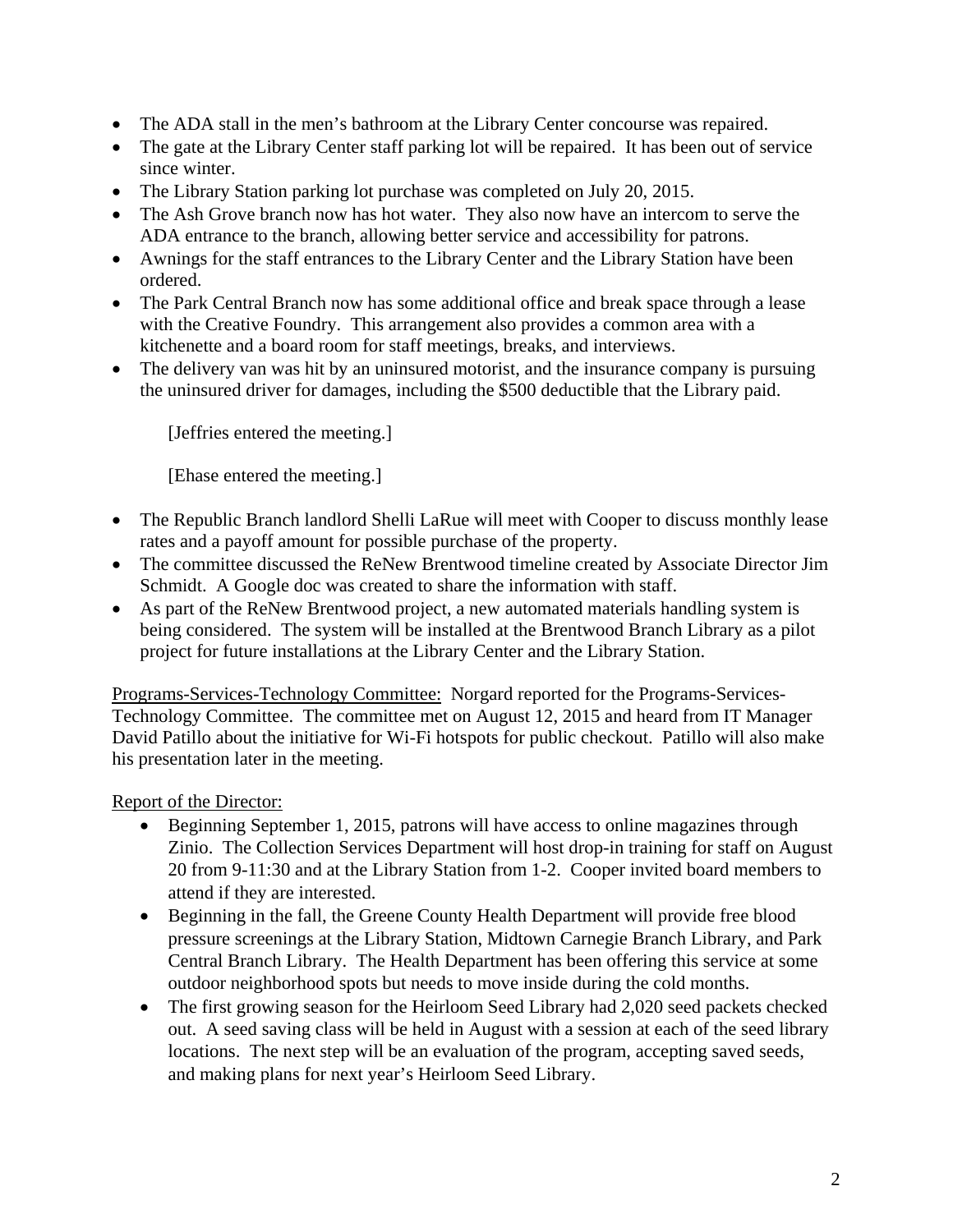- The ADA stall in the men's bathroom at the Library Center concourse was repaired.
- The gate at the Library Center staff parking lot will be repaired. It has been out of service since winter.
- The Library Station parking lot purchase was completed on July 20, 2015.
- The Ash Grove branch now has hot water. They also now have an intercom to serve the ADA entrance to the branch, allowing better service and accessibility for patrons.
- Awnings for the staff entrances to the Library Center and the Library Station have been ordered.
- The Park Central Branch now has some additional office and break space through a lease with the Creative Foundry. This arrangement also provides a common area with a kitchenette and a board room for staff meetings, breaks, and interviews.
- The delivery van was hit by an uninsured motorist, and the insurance company is pursuing the uninsured driver for damages, including the \$500 deductible that the Library paid.

[Jeffries entered the meeting.]

[Ehase entered the meeting.]

- The Republic Branch landlord Shelli LaRue will meet with Cooper to discuss monthly lease rates and a payoff amount for possible purchase of the property.
- The committee discussed the ReNew Brentwood timeline created by Associate Director Jim Schmidt. A Google doc was created to share the information with staff.
- As part of the ReNew Brentwood project, a new automated materials handling system is being considered. The system will be installed at the Brentwood Branch Library as a pilot project for future installations at the Library Center and the Library Station.

Programs-Services-Technology Committee: Norgard reported for the Programs-Services-Technology Committee. The committee met on August 12, 2015 and heard from IT Manager David Patillo about the initiative for Wi-Fi hotspots for public checkout. Patillo will also make his presentation later in the meeting.

Report of the Director:

- Beginning September 1, 2015, patrons will have access to online magazines through Zinio. The Collection Services Department will host drop-in training for staff on August 20 from 9-11:30 and at the Library Station from 1-2. Cooper invited board members to attend if they are interested.
- Beginning in the fall, the Greene County Health Department will provide free blood pressure screenings at the Library Station, Midtown Carnegie Branch Library, and Park Central Branch Library. The Health Department has been offering this service at some outdoor neighborhood spots but needs to move inside during the cold months.
- The first growing season for the Heirloom Seed Library had 2,020 seed packets checked out. A seed saving class will be held in August with a session at each of the seed library locations. The next step will be an evaluation of the program, accepting saved seeds, and making plans for next year's Heirloom Seed Library.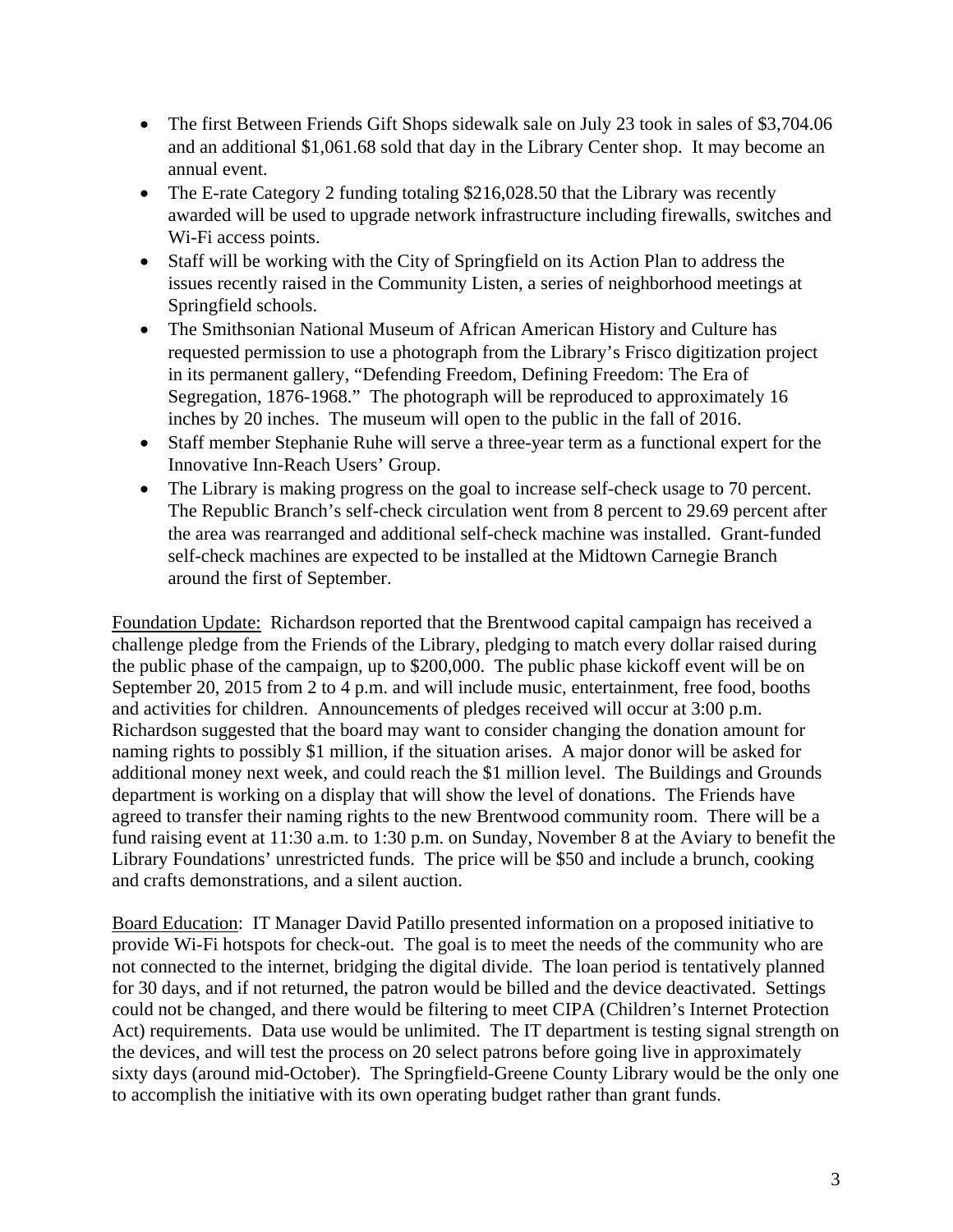- The first Between Friends Gift Shops sidewalk sale on July 23 took in sales of \$3,704.06 and an additional \$1,061.68 sold that day in the Library Center shop. It may become an annual event.
- The E-rate Category 2 funding totaling \$216,028.50 that the Library was recently awarded will be used to upgrade network infrastructure including firewalls, switches and Wi-Fi access points.
- Staff will be working with the City of Springfield on its Action Plan to address the issues recently raised in the Community Listen, a series of neighborhood meetings at Springfield schools.
- The Smithsonian National Museum of African American History and Culture has requested permission to use a photograph from the Library's Frisco digitization project in its permanent gallery, "Defending Freedom, Defining Freedom: The Era of Segregation, 1876-1968." The photograph will be reproduced to approximately 16 inches by 20 inches. The museum will open to the public in the fall of 2016.
- Staff member Stephanie Ruhe will serve a three-year term as a functional expert for the Innovative Inn-Reach Users' Group.
- The Library is making progress on the goal to increase self-check usage to 70 percent. The Republic Branch's self-check circulation went from 8 percent to 29.69 percent after the area was rearranged and additional self-check machine was installed. Grant-funded self-check machines are expected to be installed at the Midtown Carnegie Branch around the first of September.

Foundation Update: Richardson reported that the Brentwood capital campaign has received a challenge pledge from the Friends of the Library, pledging to match every dollar raised during the public phase of the campaign, up to \$200,000. The public phase kickoff event will be on September 20, 2015 from 2 to 4 p.m. and will include music, entertainment, free food, booths and activities for children. Announcements of pledges received will occur at 3:00 p.m. Richardson suggested that the board may want to consider changing the donation amount for naming rights to possibly \$1 million, if the situation arises. A major donor will be asked for additional money next week, and could reach the \$1 million level. The Buildings and Grounds department is working on a display that will show the level of donations. The Friends have agreed to transfer their naming rights to the new Brentwood community room. There will be a fund raising event at 11:30 a.m. to 1:30 p.m. on Sunday, November 8 at the Aviary to benefit the Library Foundations' unrestricted funds. The price will be \$50 and include a brunch, cooking and crafts demonstrations, and a silent auction.

Board Education: IT Manager David Patillo presented information on a proposed initiative to provide Wi-Fi hotspots for check-out. The goal is to meet the needs of the community who are not connected to the internet, bridging the digital divide. The loan period is tentatively planned for 30 days, and if not returned, the patron would be billed and the device deactivated. Settings could not be changed, and there would be filtering to meet CIPA (Children's Internet Protection Act) requirements. Data use would be unlimited. The IT department is testing signal strength on the devices, and will test the process on 20 select patrons before going live in approximately sixty days (around mid-October). The Springfield-Greene County Library would be the only one to accomplish the initiative with its own operating budget rather than grant funds.